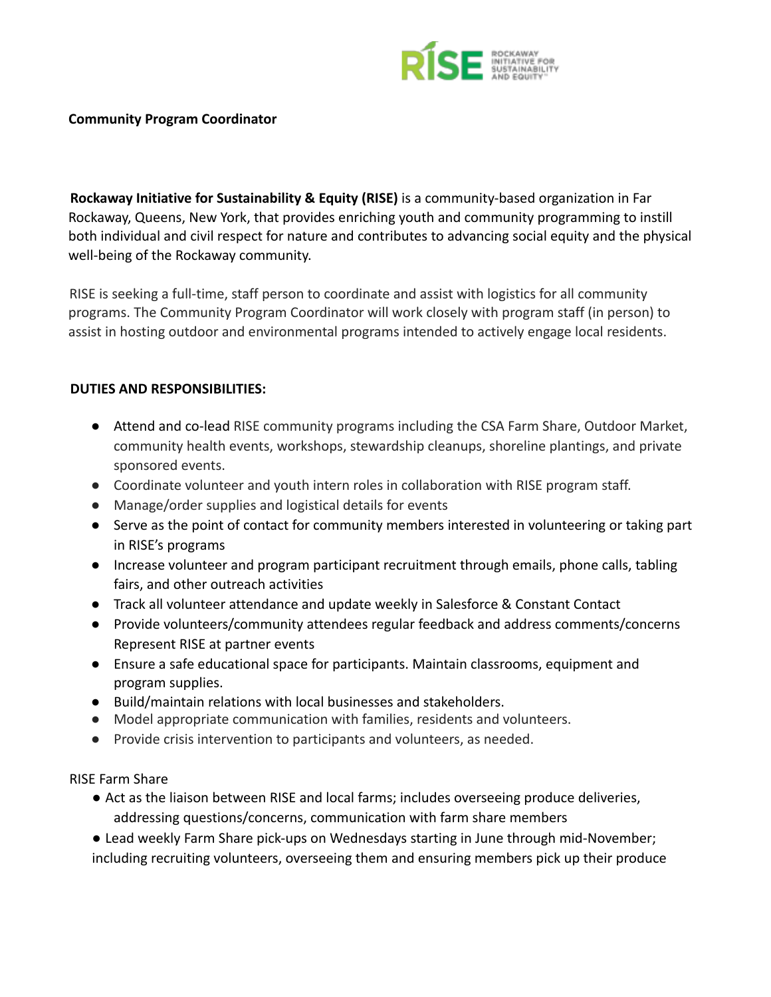

## **Community Program Coordinator**

**Rockaway Initiative for Sustainability & Equity (RISE)** is a community-based organization in Far Rockaway, Queens, New York, that provides enriching youth and community programming to instill both individual and civil respect for nature and contributes to advancing social equity and the physical well-being of the Rockaway community.

RISE is seeking a full-time, staff person to coordinate and assist with logistics for all community programs. The Community Program Coordinator will work closely with program staff (in person) to assist in hosting outdoor and environmental programs intended to actively engage local residents.

## **DUTIES AND RESPONSIBILITIES:**

- Attend and co-lead RISE community programs including the CSA Farm Share, Outdoor Market, community health events, workshops, stewardship cleanups, shoreline plantings, and private sponsored events.
- Coordinate volunteer and youth intern roles in collaboration with RISE program staff.
- Manage/order supplies and logistical details for events
- Serve as the point of contact for community members interested in volunteering or taking part in RISE's programs
- Increase volunteer and program participant recruitment through emails, phone calls, tabling fairs, and other outreach activities
- Track all volunteer attendance and update weekly in Salesforce & Constant Contact
- Provide volunteers/community attendees regular feedback and address comments/concerns Represent RISE at partner events
- Ensure a safe educational space for participants. Maintain classrooms, equipment and program supplies.
- Build/maintain relations with local businesses and stakeholders.
- Model appropriate communication with families, residents and volunteers.
- Provide crisis intervention to participants and volunteers, as needed.

RISE Farm Share

- Act as the liaison between RISE and local farms; includes overseeing produce deliveries, addressing questions/concerns, communication with farm share members
- Lead weekly Farm Share pick-ups on Wednesdays starting in June through mid-November; including recruiting volunteers, overseeing them and ensuring members pick up their produce